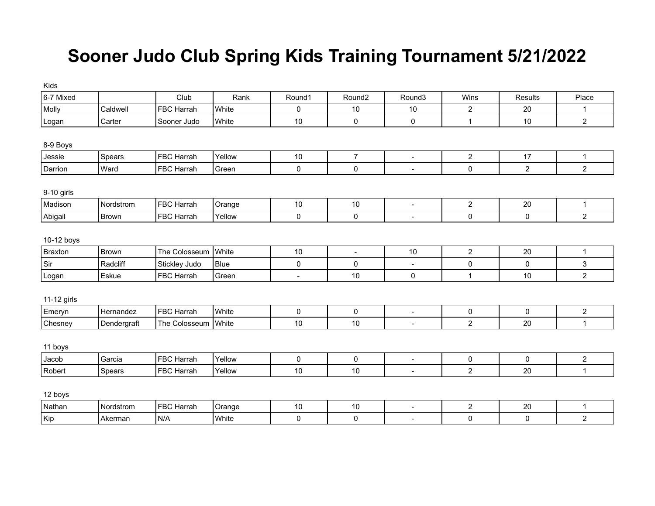## **Sooner Judo Club Spring Kids Training Tournament 5/21/2022**

| Kids        |              |                   |             |                |                     |                          |                |                |                |
|-------------|--------------|-------------------|-------------|----------------|---------------------|--------------------------|----------------|----------------|----------------|
| 6-7 Mixed   |              | Club              | Rank        | Round1         | Round <sub>2</sub>  | Round <sub>3</sub>       | Wins           | Results        | Place          |
| Molly       | Caldwell     | <b>FBC Harrah</b> | White       | $\pmb{0}$      | 10                  | 10                       | $\overline{c}$ | 20             | $\mathbf{1}$   |
| Logan       | Carter       | Sooner Judo       | White       | 10             | $\mathsf{O}\xspace$ | 0                        | $\mathbf{1}$   | 10             | $\overline{2}$ |
| 8-9 Boys    |              |                   |             |                |                     |                          |                |                |                |
| Jessie      | Spears       | FBC Harrah        | Yellow      | 10             | $\overline{7}$      | $\blacksquare$           | $\overline{c}$ | 17             | $\mathbf 1$    |
| Darrion     | Ward         | <b>FBC Harrah</b> | Green       | $\pmb{0}$      | 0                   | $\blacksquare$           | 0              | $\overline{2}$ | $\overline{2}$ |
| 9-10 girls  |              |                   |             |                |                     |                          |                |                |                |
| Madison     | Nordstrom    | <b>FBC Harrah</b> | Orange      | 10             | 10                  | $\blacksquare$           | $\overline{2}$ | 20             | $\mathbf{1}$   |
| Abigail     | <b>Brown</b> | FBC Harrah        | Yellow      | 0              | 0                   | $\overline{\phantom{a}}$ | 0              | 0              | $\overline{2}$ |
| 10-12 boys  |              |                   |             |                |                     |                          |                |                |                |
| Braxton     | Brown        | The Colosseum     | White       | $10$           | $\blacksquare$      | 10                       | $\overline{c}$ | 20             | $\mathbf{1}$   |
| Sir         | Radcliff     | Stickley Judo     | <b>Blue</b> | $\pmb{0}$      | 0                   | $\overline{\phantom{a}}$ | 0              | 0              | 3              |
| Logan       | Eskue        | FBC Harrah        | Green       | $\blacksquare$ | 10                  | $\pmb{0}$                | $\mathbf{1}$   | 10             | $\overline{2}$ |
| 11-12 girls |              |                   |             |                |                     |                          |                |                |                |
| Emeryn      | Hernandez    | <b>FBC Harrah</b> | White       | 0              | 0                   | $\blacksquare$           | 0              | 0              | $\overline{c}$ |
| Chesney     | Dendergraft  | The Colosseum     | White       | 10             | 10                  | $\blacksquare$           | $\overline{2}$ | 20             | $\mathbf{1}$   |
| 11 boys     |              |                   |             |                |                     |                          |                |                |                |
| Jacob       | Garcia       | FBC Harrah        | Yellow      | 0              | $\pmb{0}$           | $\blacksquare$           | 0              | 0              | $\overline{c}$ |
| Robert      | Spears       | <b>FBC Harrah</b> | Yellow      | 10             | 10                  | $\blacksquare$           | $\overline{c}$ | 20             | $\mathbf{1}$   |
| 12 boys     |              |                   |             |                |                     |                          |                |                |                |
| Nathan      | Nordstrom    | <b>FBC Harrah</b> | Orange      | $10$           | 10                  | $\overline{\phantom{a}}$ | $\overline{c}$ | 20             | $\mathbf{1}$   |
| Kip         | Akerman      | N/A               | White       | 0              | 0                   | $\overline{\phantom{a}}$ | 0              | $\pmb{0}$      | $\overline{a}$ |
|             |              |                   |             |                |                     |                          |                |                |                |